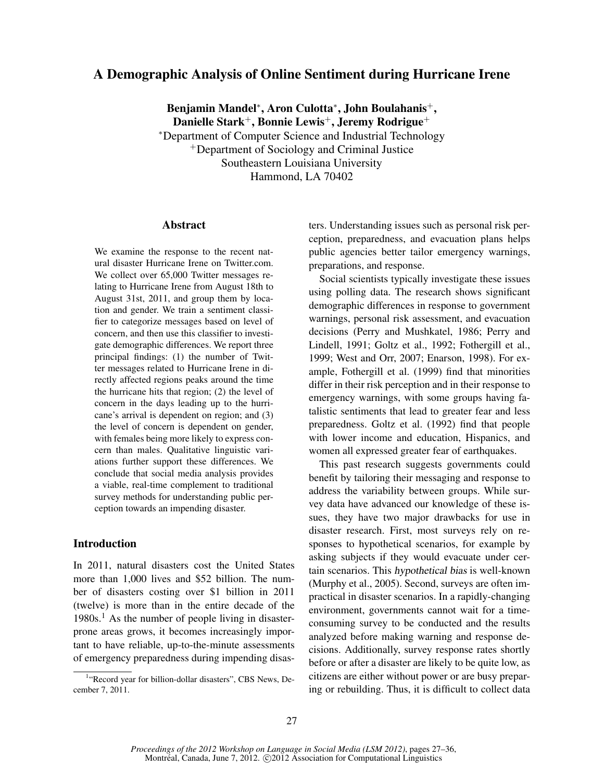# A Demographic Analysis of Online Sentiment during Hurricane Irene

Benjamin Mandel\*, Aron Culotta\*, John Boulahanis<sup>+</sup>, Danielle Stark<sup>+</sup>, Bonnie Lewis<sup>+</sup>, Jeremy Rodrigue<sup>+</sup> <sup>∗</sup>Department of Computer Science and Industrial Technology <sup>+</sup>Department of Sociology and Criminal Justice Southeastern Louisiana University Hammond, LA 70402

#### Abstract

We examine the response to the recent natural disaster Hurricane Irene on Twitter.com. We collect over 65,000 Twitter messages relating to Hurricane Irene from August 18th to August 31st, 2011, and group them by location and gender. We train a sentiment classifier to categorize messages based on level of concern, and then use this classifier to investigate demographic differences. We report three principal findings: (1) the number of Twitter messages related to Hurricane Irene in directly affected regions peaks around the time the hurricane hits that region; (2) the level of concern in the days leading up to the hurricane's arrival is dependent on region; and (3) the level of concern is dependent on gender, with females being more likely to express concern than males. Qualitative linguistic variations further support these differences. We conclude that social media analysis provides a viable, real-time complement to traditional survey methods for understanding public perception towards an impending disaster.

## Introduction

In 2011, natural disasters cost the United States more than 1,000 lives and \$52 billion. The number of disasters costing over \$1 billion in 2011 (twelve) is more than in the entire decade of the  $1980s<sup>1</sup>$  As the number of people living in disasterprone areas grows, it becomes increasingly important to have reliable, up-to-the-minute assessments of emergency preparedness during impending disasters. Understanding issues such as personal risk perception, preparedness, and evacuation plans helps public agencies better tailor emergency warnings, preparations, and response.

Social scientists typically investigate these issues using polling data. The research shows significant demographic differences in response to government warnings, personal risk assessment, and evacuation decisions (Perry and Mushkatel, 1986; Perry and Lindell, 1991; Goltz et al., 1992; Fothergill et al., 1999; West and Orr, 2007; Enarson, 1998). For example, Fothergill et al. (1999) find that minorities differ in their risk perception and in their response to emergency warnings, with some groups having fatalistic sentiments that lead to greater fear and less preparedness. Goltz et al. (1992) find that people with lower income and education, Hispanics, and women all expressed greater fear of earthquakes.

This past research suggests governments could benefit by tailoring their messaging and response to address the variability between groups. While survey data have advanced our knowledge of these issues, they have two major drawbacks for use in disaster research. First, most surveys rely on responses to hypothetical scenarios, for example by asking subjects if they would evacuate under certain scenarios. This hypothetical bias is well-known (Murphy et al., 2005). Second, surveys are often impractical in disaster scenarios. In a rapidly-changing environment, governments cannot wait for a timeconsuming survey to be conducted and the results analyzed before making warning and response decisions. Additionally, survey response rates shortly before or after a disaster are likely to be quite low, as citizens are either without power or are busy preparing or rebuilding. Thus, it is difficult to collect data

<sup>&</sup>lt;sup>1</sup>"Record year for billion-dollar disasters", CBS News, December 7, 2011.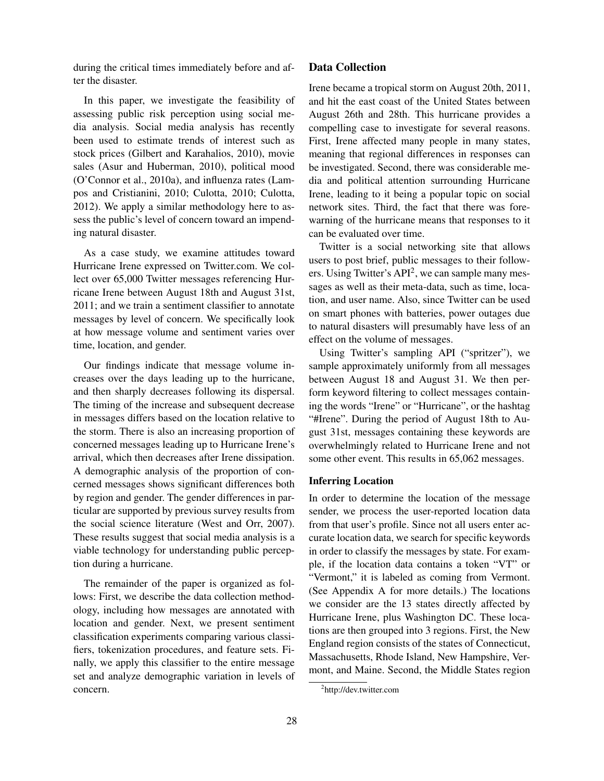during the critical times immediately before and after the disaster.

In this paper, we investigate the feasibility of assessing public risk perception using social media analysis. Social media analysis has recently been used to estimate trends of interest such as stock prices (Gilbert and Karahalios, 2010), movie sales (Asur and Huberman, 2010), political mood (O'Connor et al., 2010a), and influenza rates (Lampos and Cristianini, 2010; Culotta, 2010; Culotta, 2012). We apply a similar methodology here to assess the public's level of concern toward an impending natural disaster.

As a case study, we examine attitudes toward Hurricane Irene expressed on Twitter.com. We collect over 65,000 Twitter messages referencing Hurricane Irene between August 18th and August 31st, 2011; and we train a sentiment classifier to annotate messages by level of concern. We specifically look at how message volume and sentiment varies over time, location, and gender.

Our findings indicate that message volume increases over the days leading up to the hurricane, and then sharply decreases following its dispersal. The timing of the increase and subsequent decrease in messages differs based on the location relative to the storm. There is also an increasing proportion of concerned messages leading up to Hurricane Irene's arrival, which then decreases after Irene dissipation. A demographic analysis of the proportion of concerned messages shows significant differences both by region and gender. The gender differences in particular are supported by previous survey results from the social science literature (West and Orr, 2007). These results suggest that social media analysis is a viable technology for understanding public perception during a hurricane.

The remainder of the paper is organized as follows: First, we describe the data collection methodology, including how messages are annotated with location and gender. Next, we present sentiment classification experiments comparing various classifiers, tokenization procedures, and feature sets. Finally, we apply this classifier to the entire message set and analyze demographic variation in levels of concern.

### Data Collection

Irene became a tropical storm on August 20th, 2011, and hit the east coast of the United States between August 26th and 28th. This hurricane provides a compelling case to investigate for several reasons. First, Irene affected many people in many states, meaning that regional differences in responses can be investigated. Second, there was considerable media and political attention surrounding Hurricane Irene, leading to it being a popular topic on social network sites. Third, the fact that there was forewarning of the hurricane means that responses to it can be evaluated over time.

Twitter is a social networking site that allows users to post brief, public messages to their followers. Using Twitter's  $API^2$ , we can sample many messages as well as their meta-data, such as time, location, and user name. Also, since Twitter can be used on smart phones with batteries, power outages due to natural disasters will presumably have less of an effect on the volume of messages.

Using Twitter's sampling API ("spritzer"), we sample approximately uniformly from all messages between August 18 and August 31. We then perform keyword filtering to collect messages containing the words "Irene" or "Hurricane", or the hashtag "#Irene". During the period of August 18th to August 31st, messages containing these keywords are overwhelmingly related to Hurricane Irene and not some other event. This results in 65,062 messages.

#### Inferring Location

In order to determine the location of the message sender, we process the user-reported location data from that user's profile. Since not all users enter accurate location data, we search for specific keywords in order to classify the messages by state. For example, if the location data contains a token "VT" or "Vermont," it is labeled as coming from Vermont. (See Appendix A for more details.) The locations we consider are the 13 states directly affected by Hurricane Irene, plus Washington DC. These locations are then grouped into 3 regions. First, the New England region consists of the states of Connecticut, Massachusetts, Rhode Island, New Hampshire, Vermont, and Maine. Second, the Middle States region

<sup>&</sup>lt;sup>2</sup>http://dev.twitter.com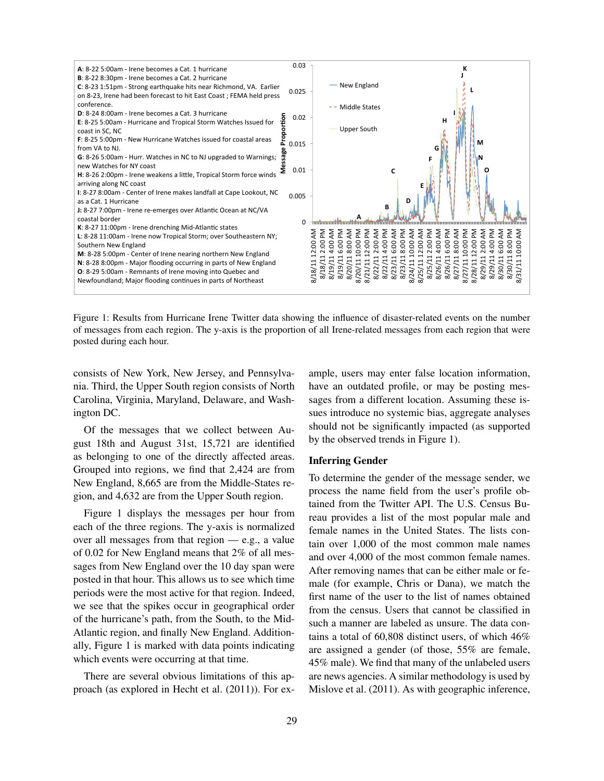

Figure 1: Results from Hurricane Irene Twitter data showing the influence of disaster-related events on the number of messages from each region. The y-axis is the proportion of all Irene-related messages from each region that were posted during each hour.

consists of New York, New Jersey, and Pennsylvania. Third, the Upper South region consists of North Carolina, Virginia, Maryland, Delaware, and Washington DC.

Of the messages that we collect between August 18th and August 31st, 15,721 are identified as belonging to one of the directly affected areas. Grouped into regions, we find that 2,424 are from New England, 8,665 are from the Middle-States region, and 4,632 are from the Upper South region.

Figure 1 displays the messages per hour from each of the three regions. The y-axis is normalized over all messages from that region — e.g., a value of 0.02 for New England means that 2% of all messages from New England over the 10 day span were posted in that hour. This allows us to see which time periods were the most active for that region. Indeed, we see that the spikes occur in geographical order of the hurricane's path, from the South, to the Mid-Atlantic region, and finally New England. Additionally, Figure 1 is marked with data points indicating which events were occurring at that time.

There are several obvious limitations of this approach (as explored in Hecht et al. (2011)). For example, users may enter false location information, have an outdated profile, or may be posting messages from a different location. Assuming these issues introduce no systemic bias, aggregate analyses should not be significantly impacted (as supported by the observed trends in Figure 1).

### Inferring Gender

To determine the gender of the message sender, we process the name field from the user's profile obtained from the Twitter API. The U.S. Census Bureau provides a list of the most popular male and female names in the United States. The lists contain over 1,000 of the most common male names and over 4,000 of the most common female names. After removing names that can be either male or female (for example, Chris or Dana), we match the first name of the user to the list of names obtained from the census. Users that cannot be classified in such a manner are labeled as unsure. The data contains a total of 60,808 distinct users, of which 46% are assigned a gender (of those, 55% are female, 45% male). We find that many of the unlabeled users are news agencies. A similar methodology is used by Mislove et al. (2011). As with geographic inference,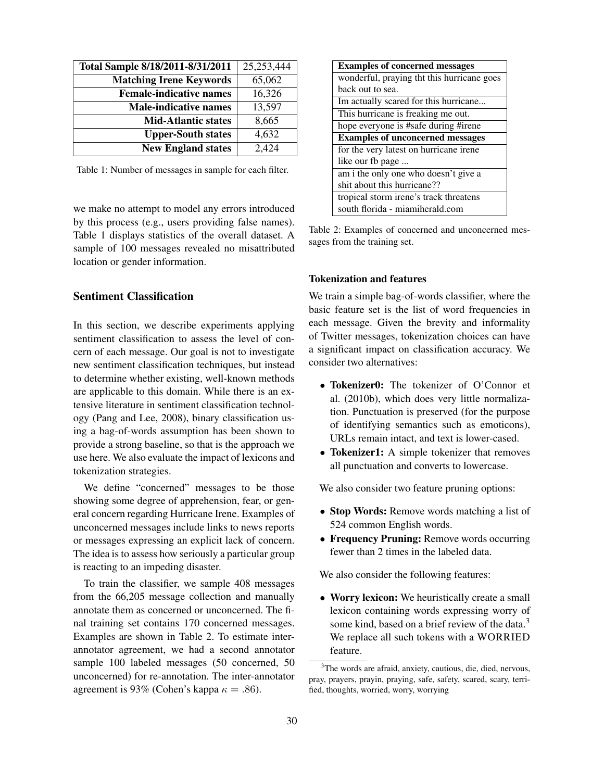| Total Sample 8/18/2011-8/31/2011 | 25,253,444 |
|----------------------------------|------------|
| <b>Matching Irene Keywords</b>   | 65,062     |
| <b>Female-indicative names</b>   | 16,326     |
| <b>Male-indicative names</b>     | 13,597     |
| <b>Mid-Atlantic states</b>       | 8,665      |
| <b>Upper-South states</b>        | 4,632      |
| <b>New England states</b>        | 2,424      |

Table 1: Number of messages in sample for each filter.

we make no attempt to model any errors introduced by this process (e.g., users providing false names). Table 1 displays statistics of the overall dataset. A sample of 100 messages revealed no misattributed location or gender information.

## Sentiment Classification

In this section, we describe experiments applying sentiment classification to assess the level of concern of each message. Our goal is not to investigate new sentiment classification techniques, but instead to determine whether existing, well-known methods are applicable to this domain. While there is an extensive literature in sentiment classification technology (Pang and Lee, 2008), binary classification using a bag-of-words assumption has been shown to provide a strong baseline, so that is the approach we use here. We also evaluate the impact of lexicons and tokenization strategies.

We define "concerned" messages to be those showing some degree of apprehension, fear, or general concern regarding Hurricane Irene. Examples of unconcerned messages include links to news reports or messages expressing an explicit lack of concern. The idea is to assess how seriously a particular group is reacting to an impeding disaster.

To train the classifier, we sample 408 messages from the 66,205 message collection and manually annotate them as concerned or unconcerned. The final training set contains 170 concerned messages. Examples are shown in Table 2. To estimate interannotator agreement, we had a second annotator sample 100 labeled messages (50 concerned, 50 unconcerned) for re-annotation. The inter-annotator agreement is 93% (Cohen's kappa  $\kappa = .86$ ).

| <b>Examples of concerned messages</b>      |  |  |
|--------------------------------------------|--|--|
| wonderful, praying tht this hurricane goes |  |  |
| back out to sea.                           |  |  |
| Im actually scared for this hurricane      |  |  |
| This hurricane is freaking me out.         |  |  |
| hope everyone is #safe during #irene       |  |  |
| <b>Examples of unconcerned messages</b>    |  |  |
| for the very latest on hurricane irene     |  |  |
| like our fb page                           |  |  |
| am i the only one who doesn't give a       |  |  |
| shit about this hurricane??                |  |  |
| tropical storm irene's track threatens     |  |  |
| south florida - miamiherald.com            |  |  |

Table 2: Examples of concerned and unconcerned messages from the training set.

### Tokenization and features

We train a simple bag-of-words classifier, where the basic feature set is the list of word frequencies in each message. Given the brevity and informality of Twitter messages, tokenization choices can have a significant impact on classification accuracy. We consider two alternatives:

- Tokenizer0: The tokenizer of O'Connor et al. (2010b), which does very little normalization. Punctuation is preserved (for the purpose of identifying semantics such as emoticons), URLs remain intact, and text is lower-cased.
- Tokenizer1: A simple tokenizer that removes all punctuation and converts to lowercase.

We also consider two feature pruning options:

- Stop Words: Remove words matching a list of 524 common English words.
- Frequency Pruning: Remove words occurring fewer than 2 times in the labeled data.

We also consider the following features:

• Worry lexicon: We heuristically create a small lexicon containing words expressing worry of some kind, based on a brief review of the data.<sup>3</sup> We replace all such tokens with a WORRIED feature.

<sup>3</sup>The words are afraid, anxiety, cautious, die, died, nervous, pray, prayers, prayin, praying, safe, safety, scared, scary, terrified, thoughts, worried, worry, worrying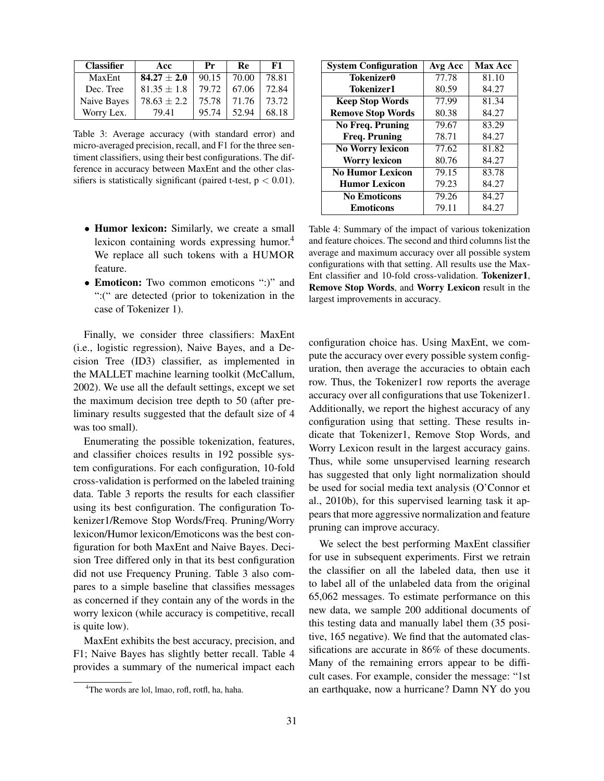| <b>Classifier</b> | Acc             | Pr    | Re    | F1    |
|-------------------|-----------------|-------|-------|-------|
| MaxEnt            | $84.27 \pm 2.0$ | 90.15 | 70.00 | 78.81 |
| Dec. Tree         | $81.35 \pm 1.8$ | 79.72 | 67.06 | 72.84 |
| Naive Bayes       | $78.63 \pm 2.2$ | 75.78 | 71.76 | 73.72 |
| Worry Lex.        | 79.41           | 95.74 | 52.94 | 68.18 |

Table 3: Average accuracy (with standard error) and micro-averaged precision, recall, and F1 for the three sentiment classifiers, using their best configurations. The difference in accuracy between MaxEnt and the other classifiers is statistically significant (paired t-test,  $p < 0.01$ ).

- Humor lexicon: Similarly, we create a small lexicon containing words expressing humor.<sup>4</sup> We replace all such tokens with a HUMOR feature.
- Emoticon: Two common emoticons ":)" and ":(" are detected (prior to tokenization in the case of Tokenizer 1).

Finally, we consider three classifiers: MaxEnt (i.e., logistic regression), Naive Bayes, and a Decision Tree (ID3) classifier, as implemented in the MALLET machine learning toolkit (McCallum, 2002). We use all the default settings, except we set the maximum decision tree depth to 50 (after preliminary results suggested that the default size of 4 was too small).

Enumerating the possible tokenization, features, and classifier choices results in 192 possible system configurations. For each configuration, 10-fold cross-validation is performed on the labeled training data. Table 3 reports the results for each classifier using its best configuration. The configuration Tokenizer1/Remove Stop Words/Freq. Pruning/Worry lexicon/Humor lexicon/Emoticons was the best configuration for both MaxEnt and Naive Bayes. Decision Tree differed only in that its best configuration did not use Frequency Pruning. Table 3 also compares to a simple baseline that classifies messages as concerned if they contain any of the words in the worry lexicon (while accuracy is competitive, recall is quite low).

MaxEnt exhibits the best accuracy, precision, and F1; Naive Bayes has slightly better recall. Table 4 provides a summary of the numerical impact each

| <b>System Configuration</b> | Avg Acc | <b>Max Acc</b> |
|-----------------------------|---------|----------------|
| <b>Tokenizer0</b>           | 77.78   | 81.10          |
| Tokenizer1                  | 80.59   | 84.27          |
| <b>Keep Stop Words</b>      | 77.99   | 81.34          |
| <b>Remove Stop Words</b>    | 80.38   | 84.27          |
| <b>No Freq. Pruning</b>     | 79.67   | 83.29          |
| <b>Freq. Pruning</b>        | 78.71   | 84.27          |
| <b>No Worry lexicon</b>     | 77.62   | 81.82          |
| <b>Worry lexicon</b>        | 80.76   | 84.27          |
| <b>No Humor Lexicon</b>     | 79.15   | 83.78          |
| <b>Humor Lexicon</b>        | 79.23   | 84.27          |
| <b>No Emoticons</b>         | 79.26   | 84.27          |
| <b>Emoticons</b>            | 79.11   | 84.27          |

Table 4: Summary of the impact of various tokenization and feature choices. The second and third columns list the average and maximum accuracy over all possible system configurations with that setting. All results use the Max-Ent classifier and 10-fold cross-validation. Tokenizer1, Remove Stop Words, and Worry Lexicon result in the largest improvements in accuracy.

configuration choice has. Using MaxEnt, we compute the accuracy over every possible system configuration, then average the accuracies to obtain each row. Thus, the Tokenizer1 row reports the average accuracy over all configurations that use Tokenizer1. Additionally, we report the highest accuracy of any configuration using that setting. These results indicate that Tokenizer1, Remove Stop Words, and Worry Lexicon result in the largest accuracy gains. Thus, while some unsupervised learning research has suggested that only light normalization should be used for social media text analysis (O'Connor et al., 2010b), for this supervised learning task it appears that more aggressive normalization and feature pruning can improve accuracy.

We select the best performing MaxEnt classifier for use in subsequent experiments. First we retrain the classifier on all the labeled data, then use it to label all of the unlabeled data from the original 65,062 messages. To estimate performance on this new data, we sample 200 additional documents of this testing data and manually label them (35 positive, 165 negative). We find that the automated classifications are accurate in 86% of these documents. Many of the remaining errors appear to be difficult cases. For example, consider the message: "1st an earthquake, now a hurricane? Damn NY do you

<sup>&</sup>lt;sup>4</sup>The words are lol, lmao, rofl, rotfl, ha, haha.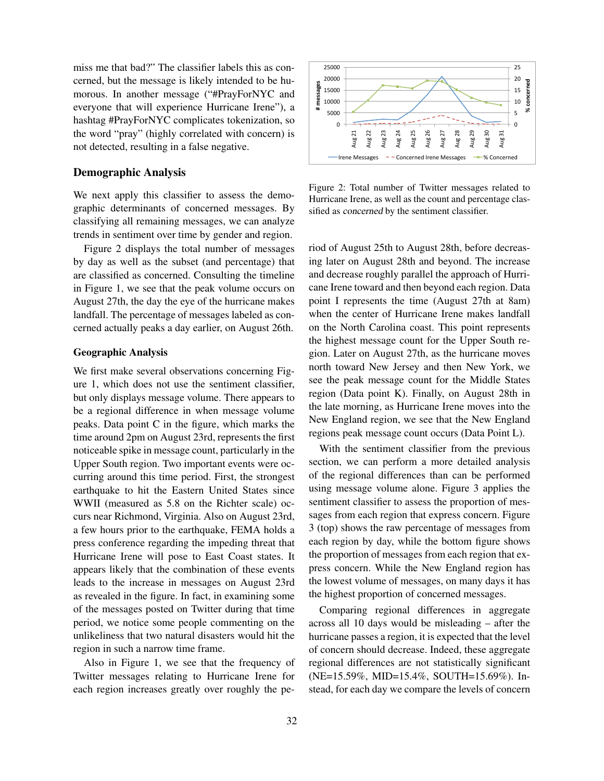miss me that bad?" The classifier labels this as concerned, but the message is likely intended to be humorous. In another message ("#PrayForNYC and everyone that will experience Hurricane Irene"), a hashtag #PrayForNYC complicates tokenization, so the word "pray" (highly correlated with concern) is not detected, resulting in a false negative.

#### Demographic Analysis

We next apply this classifier to assess the demographic determinants of concerned messages. By classifying all remaining messages, we can analyze trends in sentiment over time by gender and region.

Figure 2 displays the total number of messages by day as well as the subset (and percentage) that are classified as concerned. Consulting the timeline in Figure 1, we see that the peak volume occurs on August 27th, the day the eye of the hurricane makes landfall. The percentage of messages labeled as concerned actually peaks a day earlier, on August 26th.

#### Geographic Analysis

We first make several observations concerning Figure 1, which does not use the sentiment classifier, but only displays message volume. There appears to be a regional difference in when message volume peaks. Data point C in the figure, which marks the time around 2pm on August 23rd, represents the first noticeable spike in message count, particularly in the Upper South region. Two important events were occurring around this time period. First, the strongest earthquake to hit the Eastern United States since WWII (measured as 5.8 on the Richter scale) occurs near Richmond, Virginia. Also on August 23rd, a few hours prior to the earthquake, FEMA holds a press conference regarding the impeding threat that Hurricane Irene will pose to East Coast states. It appears likely that the combination of these events leads to the increase in messages on August 23rd as revealed in the figure. In fact, in examining some of the messages posted on Twitter during that time period, we notice some people commenting on the unlikeliness that two natural disasters would hit the region in such a narrow time frame.

Also in Figure 1, we see that the frequency of Twitter messages relating to Hurricane Irene for each region increases greatly over roughly the pe-



Figure 2: Total number of Twitter messages related to Hurricane Irene, as well as the count and percentage classified as concerned by the sentiment classifier.

riod of August 25th to August 28th, before decreasing later on August 28th and beyond. The increase and decrease roughly parallel the approach of Hurricane Irene toward and then beyond each region. Data point I represents the time (August 27th at 8am) when the center of Hurricane Irene makes landfall on the North Carolina coast. This point represents the highest message count for the Upper South region. Later on August 27th, as the hurricane moves north toward New Jersey and then New York, we see the peak message count for the Middle States region (Data point K). Finally, on August 28th in the late morning, as Hurricane Irene moves into the New England region, we see that the New England regions peak message count occurs (Data Point L).

With the sentiment classifier from the previous section, we can perform a more detailed analysis of the regional differences than can be performed using message volume alone. Figure 3 applies the sentiment classifier to assess the proportion of messages from each region that express concern. Figure 3 (top) shows the raw percentage of messages from each region by day, while the bottom figure shows the proportion of messages from each region that express concern. While the New England region has the lowest volume of messages, on many days it has the highest proportion of concerned messages.

Comparing regional differences in aggregate across all 10 days would be misleading – after the hurricane passes a region, it is expected that the level of concern should decrease. Indeed, these aggregate regional differences are not statistically significant (NE=15.59%, MID=15.4%, SOUTH=15.69%). Instead, for each day we compare the levels of concern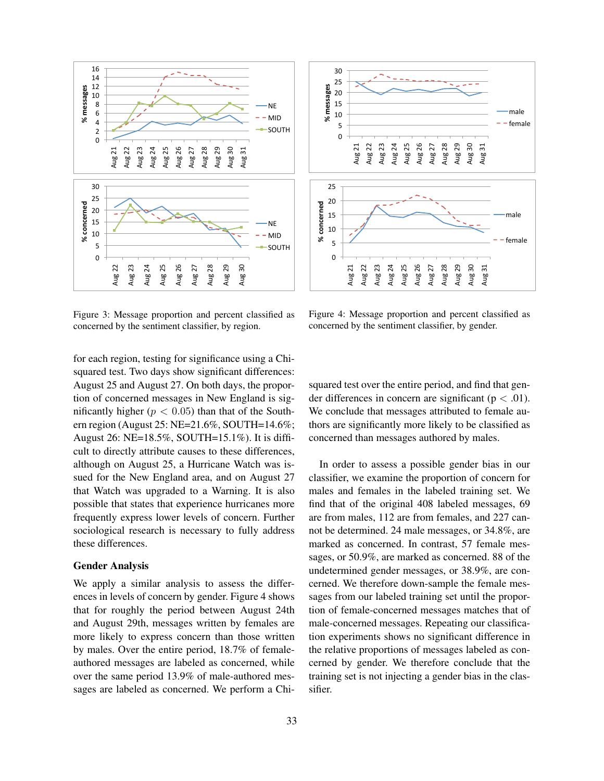

Figure 3: Message proportion and percent classified as concerned by the sentiment classifier, by region.

for each region, testing for significance using a Chisquared test. Two days show significant differences: August 25 and August 27. On both days, the proportion of concerned messages in New England is significantly higher ( $p < 0.05$ ) than that of the Southern region (August 25: NE=21.6%, SOUTH=14.6%; August 26: NE=18.5%, SOUTH=15.1%). It is difficult to directly attribute causes to these differences, although on August 25, a Hurricane Watch was issued for the New England area, and on August 27 that Watch was upgraded to a Warning. It is also possible that states that experience hurricanes more frequently express lower levels of concern. Further sociological research is necessary to fully address these differences.

#### Gender Analysis

We apply a similar analysis to assess the differences in levels of concern by gender. Figure 4 shows that for roughly the period between August 24th and August 29th, messages written by females are more likely to express concern than those written by males. Over the entire period, 18.7% of femaleauthored messages are labeled as concerned, while over the same period 13.9% of male-authored messages are labeled as concerned. We perform a Chi-



Figure 4: Message proportion and percent classified as concerned by the sentiment classifier, by gender.

squared test over the entire period, and find that gender differences in concern are significant ( $p < .01$ ). We conclude that messages attributed to female authors are significantly more likely to be classified as concerned than messages authored by males.

In order to assess a possible gender bias in our classifier, we examine the proportion of concern for males and females in the labeled training set. We find that of the original 408 labeled messages, 69 are from males, 112 are from females, and 227 cannot be determined. 24 male messages, or 34.8%, are marked as concerned. In contrast, 57 female messages, or 50.9%, are marked as concerned. 88 of the undetermined gender messages, or 38.9%, are concerned. We therefore down-sample the female messages from our labeled training set until the proportion of female-concerned messages matches that of male-concerned messages. Repeating our classification experiments shows no significant difference in the relative proportions of messages labeled as concerned by gender. We therefore conclude that the training set is not injecting a gender bias in the classifier.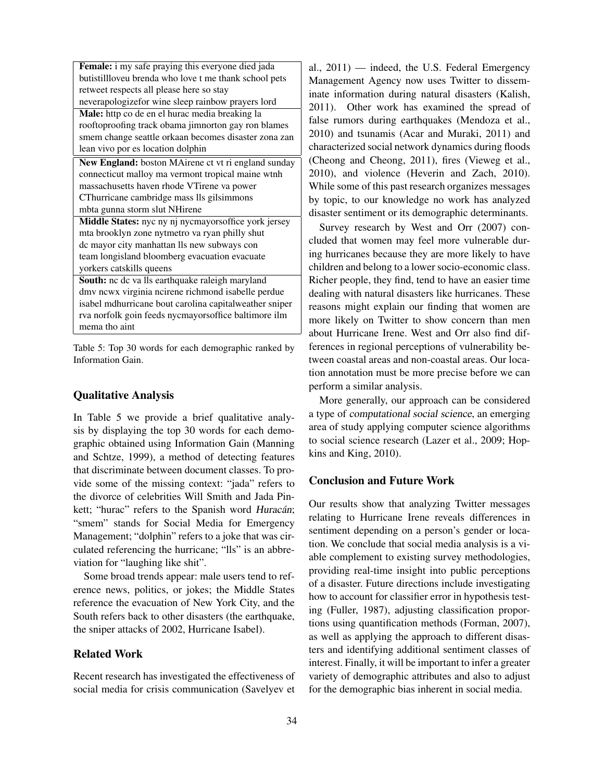| Female: i my safe praying this everyone died jada      |
|--------------------------------------------------------|
| butistillloveu brenda who love t me thank school pets  |
| retweet respects all please here so stay               |
| neverapologizefor wine sleep rainbow prayers lord      |
| Male: http co de en el hurac media breaking la         |
| rooftoproofing track obama jimnorton gay ron blames    |
| smem change seattle orkaan becomes disaster zona zan   |
| lean vivo por es location dolphin                      |
| New England: boston MAirene ct vt ri england sunday    |
| connecticut malloy ma vermont tropical maine wtnh      |
| massachusetts haven rhode VTirene va power             |
| CThurricane cambridge mass lls gilsimmons              |
| mbta gunna storm slut NHirene                          |
| Middle States: nyc ny nj nycmayorsoffice york jersey   |
| mta brooklyn zone nytmetro va ryan philly shut         |
| dc mayor city manhattan lls new subways con            |
| team longisland bloomberg evacuation evacuate          |
| yorkers catskills queens                               |
| South: nc dc va lls earthquake raleigh maryland        |
| dmv ncwx virginia ncirene richmond isabelle perdue     |
| isabel mdhurricane bout carolina capitalweather sniper |
| rva norfolk goin feeds nycmayorsoffice baltimore ilm   |
| mema tho aint                                          |
|                                                        |

Table 5: Top 30 words for each demographic ranked by Information Gain.

### Qualitative Analysis

In Table 5 we provide a brief qualitative analysis by displaying the top 30 words for each demographic obtained using Information Gain (Manning and Schtze, 1999), a method of detecting features that discriminate between document classes. To provide some of the missing context: "jada" refers to the divorce of celebrities Will Smith and Jada Pinkett; "hurac" refers to the Spanish word Huracán; "smem" stands for Social Media for Emergency Management; "dolphin" refers to a joke that was circulated referencing the hurricane; "lls" is an abbreviation for "laughing like shit".

Some broad trends appear: male users tend to reference news, politics, or jokes; the Middle States reference the evacuation of New York City, and the South refers back to other disasters (the earthquake, the sniper attacks of 2002, Hurricane Isabel).

### Related Work

Recent research has investigated the effectiveness of social media for crisis communication (Savelyev et al., 2011) — indeed, the U.S. Federal Emergency Management Agency now uses Twitter to disseminate information during natural disasters (Kalish, 2011). Other work has examined the spread of false rumors during earthquakes (Mendoza et al., 2010) and tsunamis (Acar and Muraki, 2011) and characterized social network dynamics during floods (Cheong and Cheong, 2011), fires (Vieweg et al., 2010), and violence (Heverin and Zach, 2010). While some of this past research organizes messages by topic, to our knowledge no work has analyzed disaster sentiment or its demographic determinants.

Survey research by West and Orr (2007) concluded that women may feel more vulnerable during hurricanes because they are more likely to have children and belong to a lower socio-economic class. Richer people, they find, tend to have an easier time dealing with natural disasters like hurricanes. These reasons might explain our finding that women are more likely on Twitter to show concern than men about Hurricane Irene. West and Orr also find differences in regional perceptions of vulnerability between coastal areas and non-coastal areas. Our location annotation must be more precise before we can perform a similar analysis.

More generally, our approach can be considered a type of computational social science, an emerging area of study applying computer science algorithms to social science research (Lazer et al., 2009; Hopkins and King, 2010).

### Conclusion and Future Work

Our results show that analyzing Twitter messages relating to Hurricane Irene reveals differences in sentiment depending on a person's gender or location. We conclude that social media analysis is a viable complement to existing survey methodologies, providing real-time insight into public perceptions of a disaster. Future directions include investigating how to account for classifier error in hypothesis testing (Fuller, 1987), adjusting classification proportions using quantification methods (Forman, 2007), as well as applying the approach to different disasters and identifying additional sentiment classes of interest. Finally, it will be important to infer a greater variety of demographic attributes and also to adjust for the demographic bias inherent in social media.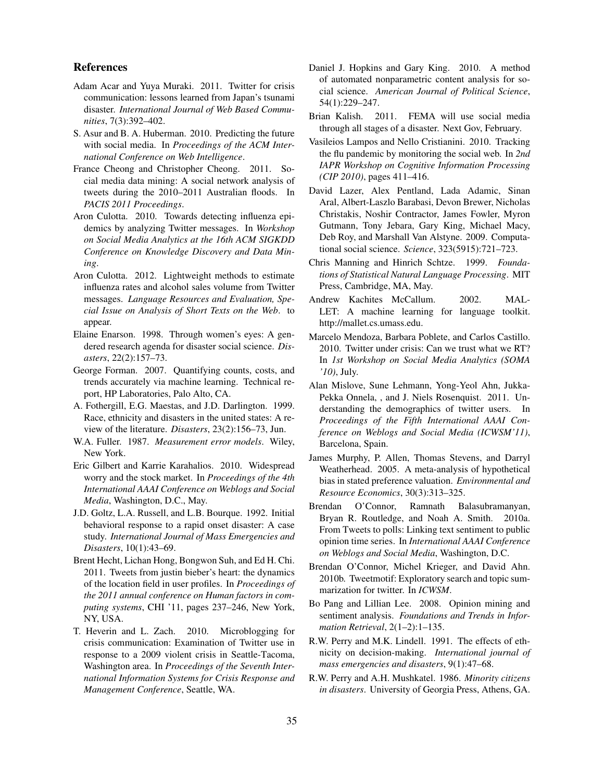### References

- Adam Acar and Yuya Muraki. 2011. Twitter for crisis communication: lessons learned from Japan's tsunami disaster. *International Journal of Web Based Communities*, 7(3):392–402.
- S. Asur and B. A. Huberman. 2010. Predicting the future with social media. In *Proceedings of the ACM International Conference on Web Intelligence*.
- France Cheong and Christopher Cheong. 2011. Social media data mining: A social network analysis of tweets during the 2010–2011 Australian floods. In *PACIS 2011 Proceedings*.
- Aron Culotta. 2010. Towards detecting influenza epidemics by analyzing Twitter messages. In *Workshop on Social Media Analytics at the 16th ACM SIGKDD Conference on Knowledge Discovery and Data Mining*.
- Aron Culotta. 2012. Lightweight methods to estimate influenza rates and alcohol sales volume from Twitter messages. *Language Resources and Evaluation, Special Issue on Analysis of Short Texts on the Web*. to appear.
- Elaine Enarson. 1998. Through women's eyes: A gendered research agenda for disaster social science. *Disasters*, 22(2):157–73.
- George Forman. 2007. Quantifying counts, costs, and trends accurately via machine learning. Technical report, HP Laboratories, Palo Alto, CA.
- A. Fothergill, E.G. Maestas, and J.D. Darlington. 1999. Race, ethnicity and disasters in the united states: A review of the literature. *Disasters*, 23(2):156–73, Jun.
- W.A. Fuller. 1987. *Measurement error models*. Wiley, New York.
- Eric Gilbert and Karrie Karahalios. 2010. Widespread worry and the stock market. In *Proceedings of the 4th International AAAI Conference on Weblogs and Social Media*, Washington, D.C., May.
- J.D. Goltz, L.A. Russell, and L.B. Bourque. 1992. Initial behavioral response to a rapid onset disaster: A case study. *International Journal of Mass Emergencies and Disasters*, 10(1):43–69.
- Brent Hecht, Lichan Hong, Bongwon Suh, and Ed H. Chi. 2011. Tweets from justin bieber's heart: the dynamics of the location field in user profiles. In *Proceedings of the 2011 annual conference on Human factors in computing systems*, CHI '11, pages 237–246, New York, NY, USA.
- T. Heverin and L. Zach. 2010. Microblogging for crisis communication: Examination of Twitter use in response to a 2009 violent crisis in Seattle-Tacoma, Washington area. In *Proceedings of the Seventh International Information Systems for Crisis Response and Management Conference*, Seattle, WA.
- Daniel J. Hopkins and Gary King. 2010. A method of automated nonparametric content analysis for social science. *American Journal of Political Science*, 54(1):229–247.
- Brian Kalish. 2011. FEMA will use social media through all stages of a disaster. Next Gov, February.
- Vasileios Lampos and Nello Cristianini. 2010. Tracking the flu pandemic by monitoring the social web. In *2nd IAPR Workshop on Cognitive Information Processing (CIP 2010)*, pages 411–416.
- David Lazer, Alex Pentland, Lada Adamic, Sinan Aral, Albert-Laszlo Barabasi, Devon Brewer, Nicholas Christakis, Noshir Contractor, James Fowler, Myron Gutmann, Tony Jebara, Gary King, Michael Macy, Deb Roy, and Marshall Van Alstyne. 2009. Computational social science. *Science*, 323(5915):721–723.
- Chris Manning and Hinrich Schtze. 1999. *Foundations of Statistical Natural Language Processing*. MIT Press, Cambridge, MA, May.
- Andrew Kachites McCallum. 2002. MAL-LET: A machine learning for language toolkit. http://mallet.cs.umass.edu.
- Marcelo Mendoza, Barbara Poblete, and Carlos Castillo. 2010. Twitter under crisis: Can we trust what we RT? In *1st Workshop on Social Media Analytics (SOMA '10)*, July.
- Alan Mislove, Sune Lehmann, Yong-Yeol Ahn, Jukka-Pekka Onnela, , and J. Niels Rosenquist. 2011. Understanding the demographics of twitter users. In *Proceedings of the Fifth International AAAI Conference on Weblogs and Social Media (ICWSM'11)*, Barcelona, Spain.
- James Murphy, P. Allen, Thomas Stevens, and Darryl Weatherhead. 2005. A meta-analysis of hypothetical bias in stated preference valuation. *Environmental and Resource Economics*, 30(3):313–325.
- Brendan O'Connor, Ramnath Balasubramanyan, Bryan R. Routledge, and Noah A. Smith. 2010a. From Tweets to polls: Linking text sentiment to public opinion time series. In *International AAAI Conference on Weblogs and Social Media*, Washington, D.C.
- Brendan O'Connor, Michel Krieger, and David Ahn. 2010b. Tweetmotif: Exploratory search and topic summarization for twitter. In *ICWSM*.
- Bo Pang and Lillian Lee. 2008. Opinion mining and sentiment analysis. *Foundations and Trends in Information Retrieval*, 2(1–2):1–135.
- R.W. Perry and M.K. Lindell. 1991. The effects of ethnicity on decision-making. *International journal of mass emergencies and disasters*, 9(1):47–68.
- R.W. Perry and A.H. Mushkatel. 1986. *Minority citizens in disasters*. University of Georgia Press, Athens, GA.